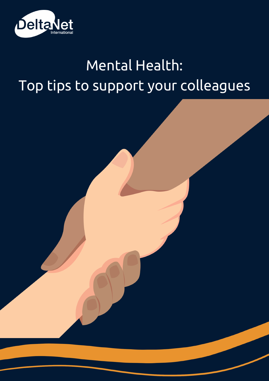

### Mental Health: Top tips to support your colleagues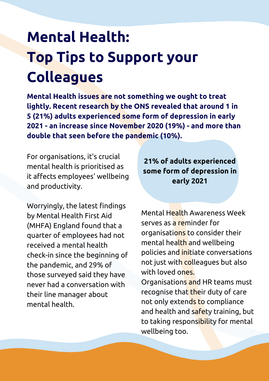### **Mental Health: Top Tips to Support your Colleagues**

**Mental Health issues are not something we ought to treat lightly. Recent research by the ONS revealed that around 1 in 5 (21%) adults experienced some form of depression in early 2021 - an increase since November 2020 (19%) - and more than double that seen before the pandemic (10%).**

For organisations, it's crucial mental health is prioritised as it affects employees' wellbeing and productivity.

Worryingly, the latest findings by Mental Health First Aid (MHFA) England found that a quarter of employees had not received a mental health check-in since the beginning of the pandemic, and 29% of those surveyed said they have never had a conversation with their line manager about mental health.

**21% of adults experienced some form of depression in early 2021**

Mental Health Awareness Week serves as a reminder for organisations to consider their mental health and wellbeing policies and initiate conversations not just with colleagues but also with loved ones. Organisations and HR teams must recognise that their duty of care not only extends to compliance and health and safety training, but to taking responsibility for mental wellbeing too.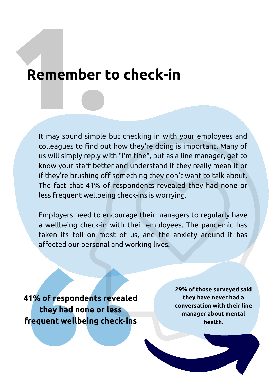# **1Remember to check-in bert**

It may sound simple but checking in with your employees and colleagues to find out how they're doing is important. Many of us will simply reply with "I'm fine", but as a line manager, get to know your staff better and understand if they really mean it or if they're brushing off something they don't want to talk about. The fact that 41% of respondents revealed they had none or less frequent wellbeing check-ins is worrying.

Employers need to encourage their managers to regularly have a wellbeing check-in with their employees. The pandemic has taken its toll on most of us, and the anxiety around it has affected our personal and working lives.

**41% of respondents revealed they had none or less frequent wellbeing check-ins**

**29% of those surveyed said they have never had a conversation with their line manager about mental health.**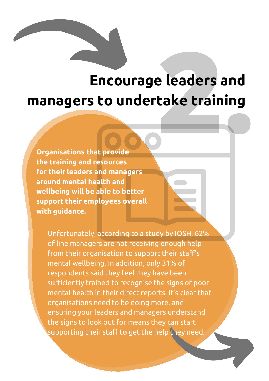## **2. Encourage leaders and managers to undertake training**

**Organisations that provide the training and resources for their leaders and managers around mental health and wellbeing will be able to better support their employees overall with guidance.**

> Unfortunately, according to a study by IOSH, 62% of line managers are not receiving enough help from their organisation to support their staff's mental wellbeing. In addition, only 31% of respondents said they feel they have been sufficiently trained to recognise the signs of poor mental health in their direct reports. It's clear that organisations need to be doing more, and ensuring your leaders and managers understand the signs to look out for means they can start supporting their staff to get the help they need.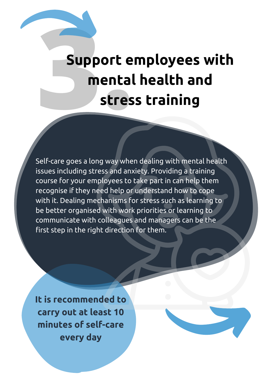### **Support employees with mental health and Suppo**<br>
me ort e<br>ental<br>stres **tress training**

Self-care goes a long way when dealing with mental health issues including stress and anxiety. Providing a training course for your employees to take part in can help them recognise if they need help or understand how to cope with it. Dealing mechanisms for stress such as learning to be better organised with work priorities or learning to communicate with colleagues and managers can be the first step in the right direction for them.

**It is recommended to carry out at least 10 minutes of self-care every day**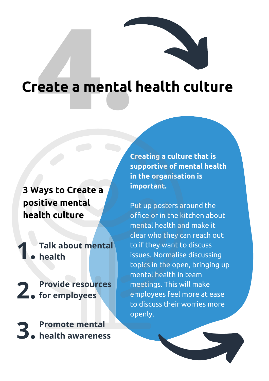# eate a mental **Create a mental health culture**

**3 Ways to Create a positive mental health culture**

**Talk about mental health 1.**

**Provide resources** 2. Frovide resour

**Promote mental health awareness 3.**

**Creating a culture that is supportive of mental health in the organisation is important.**

Put up posters around the office or in the kitchen about mental health and make it clear who they can reach out to if they want to discuss issues. Normalise discussing topics in the open, bringing up mental health in team meetings. This will make employees feel more at ease to discuss their worries more openly.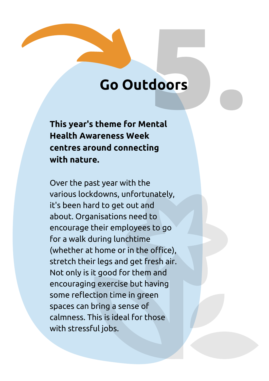# Go Outdoors **5oors**

**.**

**This year's theme for Mental Health Awareness Week centres around connecting with nature.**

Over the past year with the various lockdowns, unfortunately, it's been hard to get out and about. Organisations need to encourage their employees to go for a walk during lunchtime (whether at home or in the office), stretch their legs and get fresh air. Not only is it good for them and encouraging exercise but having some reflection time in green spaces can bring a sense of calmness. This is ideal for those with stressful jobs.